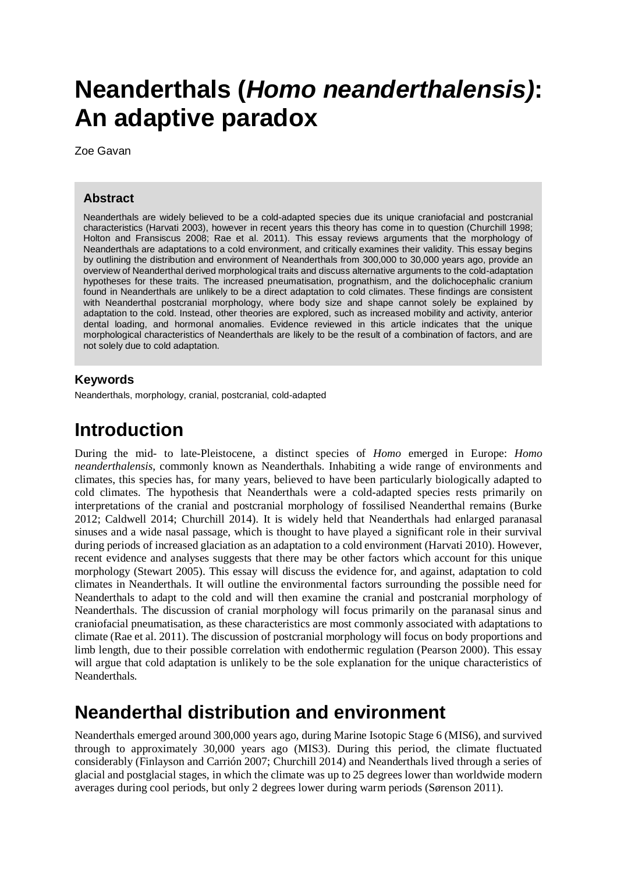# **Neanderthals (***Homo neanderthalensis)***: An adaptive paradox**

Zoe Gavan

#### **Abstract**

Neanderthals are widely believed to be a cold-adapted species due its unique craniofacial and postcranial characteristics (Harvati 2003), however in recent years this theory has come in to question (Churchill 1998; Holton and Fransiscus 2008; Rae et al. 2011). This essay reviews arguments that the morphology of Neanderthals are adaptations to a cold environment, and critically examines their validity. This essay begins by outlining the distribution and environment of Neanderthals from 300,000 to 30,000 years ago, provide an overview of Neanderthal derived morphological traits and discuss alternative arguments to the cold-adaptation hypotheses for these traits. The increased pneumatisation, prognathism, and the dolichocephalic cranium found in Neanderthals are unlikely to be a direct adaptation to cold climates. These findings are consistent with Neanderthal postcranial morphology, where body size and shape cannot solely be explained by adaptation to the cold. Instead, other theories are explored, such as increased mobility and activity, anterior dental loading, and hormonal anomalies. Evidence reviewed in this article indicates that the unique morphological characteristics of Neanderthals are likely to be the result of a combination of factors, and are not solely due to cold adaptation.

#### **Keywords**

Neanderthals, morphology, cranial, postcranial, cold-adapted

### **Introduction**

During the mid- to late-Pleistocene, a distinct species of *Homo* emerged in Europe: *Homo neanderthalensis*, commonly known as Neanderthals. Inhabiting a wide range of environments and climates, this species has, for many years, believed to have been particularly biologically adapted to cold climates. The hypothesis that Neanderthals were a cold-adapted species rests primarily on interpretations of the cranial and postcranial morphology of fossilised Neanderthal remains (Burke 2012; Caldwell 2014; Churchill 2014). It is widely held that Neanderthals had enlarged paranasal sinuses and a wide nasal passage, which is thought to have played a significant role in their survival during periods of increased glaciation as an adaptation to a cold environment (Harvati 2010). However, recent evidence and analyses suggests that there may be other factors which account for this unique morphology (Stewart 2005). This essay will discuss the evidence for, and against, adaptation to cold climates in Neanderthals. It will outline the environmental factors surrounding the possible need for Neanderthals to adapt to the cold and will then examine the cranial and postcranial morphology of Neanderthals. The discussion of cranial morphology will focus primarily on the paranasal sinus and craniofacial pneumatisation, as these characteristics are most commonly associated with adaptations to climate (Rae et al. 2011). The discussion of postcranial morphology will focus on body proportions and limb length, due to their possible correlation with endothermic regulation (Pearson 2000). This essay will argue that cold adaptation is unlikely to be the sole explanation for the unique characteristics of Neanderthals*.* 

### **Neanderthal distribution and environment**

Neanderthals emerged around 300,000 years ago, during Marine Isotopic Stage 6 (MIS6), and survived through to approximately 30,000 years ago (MIS3). During this period, the climate fluctuated considerably (Finlayson and Carrión 2007; Churchill 2014) and Neanderthals lived through a series of glacial and postglacial stages, in which the climate was up to 25 degrees lower than worldwide modern averages during cool periods, but only 2 degrees lower during warm periods (Sørenson 2011).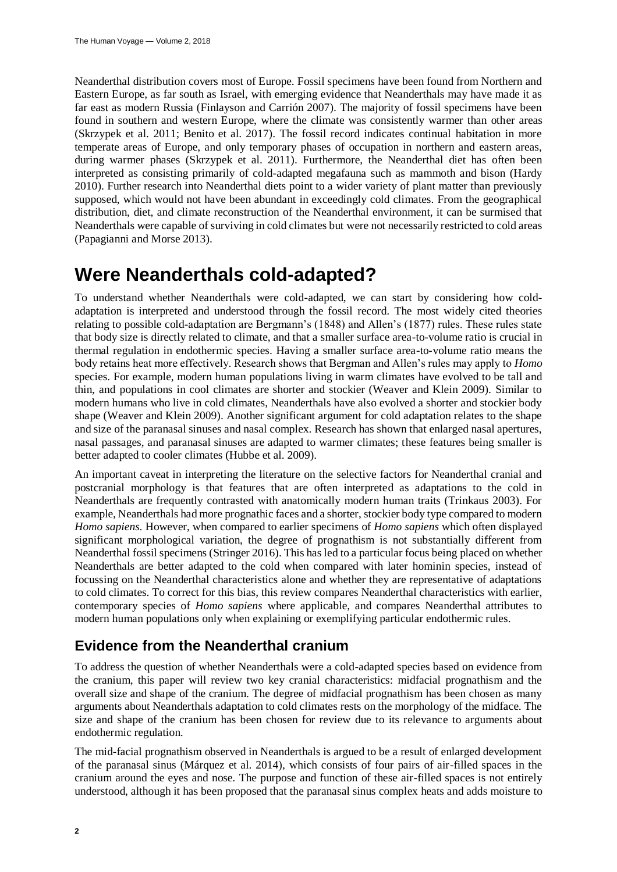Neanderthal distribution covers most of Europe. Fossil specimens have been found from Northern and Eastern Europe, as far south as Israel, with emerging evidence that Neanderthals may have made it as far east as modern Russia (Finlayson and Carrión 2007). The majority of fossil specimens have been found in southern and western Europe, where the climate was consistently warmer than other areas (Skrzypek et al. 2011; Benito et al. 2017). The fossil record indicates continual habitation in more temperate areas of Europe, and only temporary phases of occupation in northern and eastern areas, during warmer phases (Skrzypek et al. 2011). Furthermore, the Neanderthal diet has often been interpreted as consisting primarily of cold-adapted megafauna such as mammoth and bison (Hardy 2010). Further research into Neanderthal diets point to a wider variety of plant matter than previously supposed, which would not have been abundant in exceedingly cold climates. From the geographical distribution, diet, and climate reconstruction of the Neanderthal environment, it can be surmised that Neanderthals were capable of surviving in cold climates but were not necessarily restricted to cold areas (Papagianni and Morse 2013).

### **Were Neanderthals cold-adapted?**

To understand whether Neanderthals were cold-adapted, we can start by considering how coldadaptation is interpreted and understood through the fossil record. The most widely cited theories relating to possible cold-adaptation are Bergmann's (1848) and Allen's (1877) rules. These rules state that body size is directly related to climate, and that a smaller surface area-to-volume ratio is crucial in thermal regulation in endothermic species. Having a smaller surface area-to-volume ratio means the body retains heat more effectively. Research shows that Bergman and Allen's rules may apply to *Homo* species. For example, modern human populations living in warm climates have evolved to be tall and thin, and populations in cool climates are shorter and stockier (Weaver and Klein 2009). Similar to modern humans who live in cold climates, Neanderthals have also evolved a shorter and stockier body shape (Weaver and Klein 2009). Another significant argument for cold adaptation relates to the shape and size of the paranasal sinuses and nasal complex. Research has shown that enlarged nasal apertures, nasal passages, and paranasal sinuses are adapted to warmer climates; these features being smaller is better adapted to cooler climates (Hubbe et al. 2009).

An important caveat in interpreting the literature on the selective factors for Neanderthal cranial and postcranial morphology is that features that are often interpreted as adaptations to the cold in Neanderthals are frequently contrasted with anatomically modern human traits (Trinkaus 2003). For example, Neanderthals had more prognathic faces and a shorter, stockier body type compared to modern *Homo sapiens.* However, when compared to earlier specimens of *Homo sapiens* which often displayed significant morphological variation, the degree of prognathism is not substantially different from Neanderthal fossil specimens (Stringer 2016). This has led to a particular focus being placed on whether Neanderthals are better adapted to the cold when compared with later hominin species, instead of focussing on the Neanderthal characteristics alone and whether they are representative of adaptations to cold climates. To correct for this bias, this review compares Neanderthal characteristics with earlier, contemporary species of *Homo sapiens* where applicable, and compares Neanderthal attributes to modern human populations only when explaining or exemplifying particular endothermic rules.

### **Evidence from the Neanderthal cranium**

To address the question of whether Neanderthals were a cold-adapted species based on evidence from the cranium, this paper will review two key cranial characteristics: midfacial prognathism and the overall size and shape of the cranium. The degree of midfacial prognathism has been chosen as many arguments about Neanderthals adaptation to cold climates rests on the morphology of the midface. The size and shape of the cranium has been chosen for review due to its relevance to arguments about endothermic regulation.

The mid-facial prognathism observed in Neanderthals is argued to be a result of enlarged development of the paranasal sinus (Márquez et al. 2014), which consists of four pairs of air-filled spaces in the cranium around the eyes and nose. The purpose and function of these air-filled spaces is not entirely understood, although it has been proposed that the paranasal sinus complex heats and adds moisture to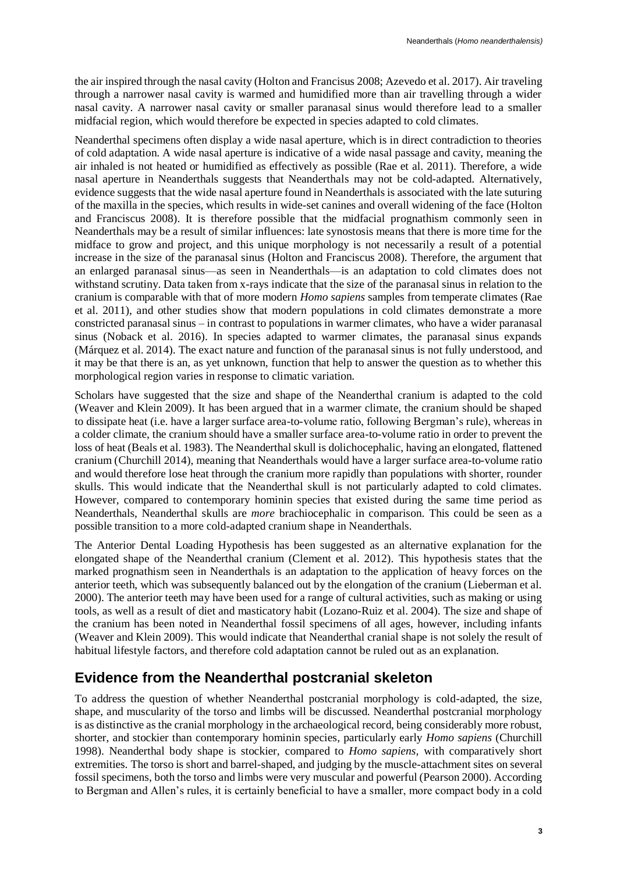the air inspired through the nasal cavity (Holton and Francisus 2008; Azevedo et al. 2017). Air traveling through a narrower nasal cavity is warmed and humidified more than air travelling through a wider nasal cavity. A narrower nasal cavity or smaller paranasal sinus would therefore lead to a smaller midfacial region, which would therefore be expected in species adapted to cold climates.

Neanderthal specimens often display a wide nasal aperture, which is in direct contradiction to theories of cold adaptation. A wide nasal aperture is indicative of a wide nasal passage and cavity, meaning the air inhaled is not heated or humidified as effectively as possible (Rae et al. 2011). Therefore, a wide nasal aperture in Neanderthals suggests that Neanderthals may not be cold-adapted. Alternatively, evidence suggests that the wide nasal aperture found in Neanderthals is associated with the late suturing of the maxilla in the species, which results in wide-set canines and overall widening of the face (Holton and Franciscus 2008). It is therefore possible that the midfacial prognathism commonly seen in Neanderthals may be a result of similar influences: late synostosis means that there is more time for the midface to grow and project, and this unique morphology is not necessarily a result of a potential increase in the size of the paranasal sinus (Holton and Franciscus 2008). Therefore, the argument that an enlarged paranasal sinus—as seen in Neanderthals—is an adaptation to cold climates does not withstand scrutiny. Data taken from x-rays indicate that the size of the paranasal sinus in relation to the cranium is comparable with that of more modern *Homo sapiens* samples from temperate climates (Rae et al. 2011), and other studies show that modern populations in cold climates demonstrate a more constricted paranasal sinus – in contrast to populations in warmer climates, who have a wider paranasal sinus (Noback et al. 2016). In species adapted to warmer climates, the paranasal sinus expands (Márquez et al. 2014). The exact nature and function of the paranasal sinus is not fully understood, and it may be that there is an, as yet unknown, function that help to answer the question as to whether this morphological region varies in response to climatic variation.

Scholars have suggested that the size and shape of the Neanderthal cranium is adapted to the cold (Weaver and Klein 2009). It has been argued that in a warmer climate, the cranium should be shaped to dissipate heat (i.e. have a larger surface area-to-volume ratio, following Bergman's rule), whereas in a colder climate, the cranium should have a smaller surface area-to-volume ratio in order to prevent the loss of heat (Beals et al. 1983). The Neanderthal skull is dolichocephalic, having an elongated, flattened cranium (Churchill 2014), meaning that Neanderthals would have a larger surface area-to-volume ratio and would therefore lose heat through the cranium more rapidly than populations with shorter, rounder skulls. This would indicate that the Neanderthal skull is not particularly adapted to cold climates. However, compared to contemporary hominin species that existed during the same time period as Neanderthals, Neanderthal skulls are *more* brachiocephalic in comparison. This could be seen as a possible transition to a more cold-adapted cranium shape in Neanderthals.

The Anterior Dental Loading Hypothesis has been suggested as an alternative explanation for the elongated shape of the Neanderthal cranium (Clement et al. 2012). This hypothesis states that the marked prognathism seen in Neanderthals is an adaptation to the application of heavy forces on the anterior teeth, which was subsequently balanced out by the elongation of the cranium (Lieberman et al. 2000). The anterior teeth may have been used for a range of cultural activities, such as making or using tools, as well as a result of diet and masticatory habit (Lozano-Ruiz et al. 2004). The size and shape of the cranium has been noted in Neanderthal fossil specimens of all ages, however, including infants (Weaver and Klein 2009). This would indicate that Neanderthal cranial shape is not solely the result of habitual lifestyle factors, and therefore cold adaptation cannot be ruled out as an explanation.

### **Evidence from the Neanderthal postcranial skeleton**

To address the question of whether Neanderthal postcranial morphology is cold-adapted, the size, shape, and muscularity of the torso and limbs will be discussed. Neanderthal postcranial morphology is as distinctive as the cranial morphology in the archaeological record, being considerably more robust, shorter, and stockier than contemporary hominin species, particularly early *Homo sapiens* (Churchill 1998). Neanderthal body shape is stockier, compared to *Homo sapiens,* with comparatively short extremities. The torso is short and barrel-shaped, and judging by the muscle-attachment sites on several fossil specimens, both the torso and limbs were very muscular and powerful (Pearson 2000). According to Bergman and Allen's rules, it is certainly beneficial to have a smaller, more compact body in a cold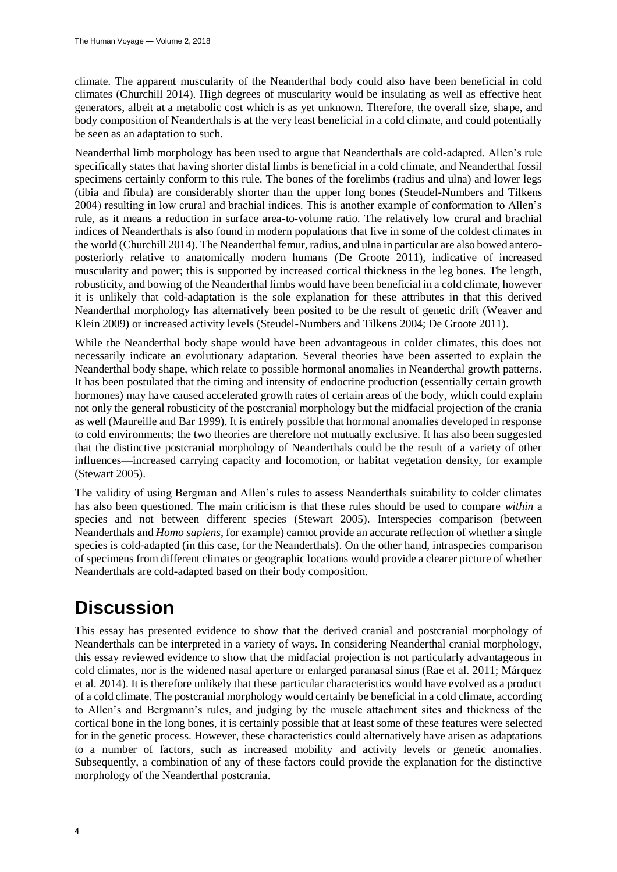climate. The apparent muscularity of the Neanderthal body could also have been beneficial in cold climates (Churchill 2014). High degrees of muscularity would be insulating as well as effective heat generators, albeit at a metabolic cost which is as yet unknown. Therefore, the overall size, shape, and body composition of Neanderthals is at the very least beneficial in a cold climate, and could potentially be seen as an adaptation to such.

Neanderthal limb morphology has been used to argue that Neanderthals are cold-adapted. Allen's rule specifically states that having shorter distal limbs is beneficial in a cold climate, and Neanderthal fossil specimens certainly conform to this rule. The bones of the forelimbs (radius and ulna) and lower legs (tibia and fibula) are considerably shorter than the upper long bones (Steudel-Numbers and Tilkens 2004) resulting in low crural and brachial indices. This is another example of conformation to Allen's rule, as it means a reduction in surface area-to-volume ratio. The relatively low crural and brachial indices of Neanderthals is also found in modern populations that live in some of the coldest climates in the world (Churchill 2014). The Neanderthal femur, radius, and ulna in particular are also bowed anteroposteriorly relative to anatomically modern humans (De Groote 2011), indicative of increased muscularity and power; this is supported by increased cortical thickness in the leg bones. The length, robusticity, and bowing of the Neanderthal limbs would have been beneficial in a cold climate, however it is unlikely that cold-adaptation is the sole explanation for these attributes in that this derived Neanderthal morphology has alternatively been posited to be the result of genetic drift (Weaver and Klein 2009) or increased activity levels (Steudel-Numbers and Tilkens 2004; De Groote 2011).

While the Neanderthal body shape would have been advantageous in colder climates, this does not necessarily indicate an evolutionary adaptation. Several theories have been asserted to explain the Neanderthal body shape, which relate to possible hormonal anomalies in Neanderthal growth patterns. It has been postulated that the timing and intensity of endocrine production (essentially certain growth hormones) may have caused accelerated growth rates of certain areas of the body, which could explain not only the general robusticity of the postcranial morphology but the midfacial projection of the crania as well (Maureille and Bar 1999). It is entirely possible that hormonal anomalies developed in response to cold environments; the two theories are therefore not mutually exclusive. It has also been suggested that the distinctive postcranial morphology of Neanderthals could be the result of a variety of other influences—increased carrying capacity and locomotion, or habitat vegetation density, for example (Stewart 2005).

The validity of using Bergman and Allen's rules to assess Neanderthals suitability to colder climates has also been questioned. The main criticism is that these rules should be used to compare *within* a species and not between different species (Stewart 2005). Interspecies comparison (between Neanderthals and *Homo sapiens*, for example) cannot provide an accurate reflection of whether a single species is cold-adapted (in this case, for the Neanderthals). On the other hand, intraspecies comparison of specimens from different climates or geographic locations would provide a clearer picture of whether Neanderthals are cold-adapted based on their body composition.

### **Discussion**

This essay has presented evidence to show that the derived cranial and postcranial morphology of Neanderthals can be interpreted in a variety of ways. In considering Neanderthal cranial morphology, this essay reviewed evidence to show that the midfacial projection is not particularly advantageous in cold climates, nor is the widened nasal aperture or enlarged paranasal sinus (Rae et al. 2011; Márquez et al. 2014). It is therefore unlikely that these particular characteristics would have evolved as a product of a cold climate. The postcranial morphology would certainly be beneficial in a cold climate, according to Allen's and Bergmann's rules, and judging by the muscle attachment sites and thickness of the cortical bone in the long bones, it is certainly possible that at least some of these features were selected for in the genetic process. However, these characteristics could alternatively have arisen as adaptations to a number of factors, such as increased mobility and activity levels or genetic anomalies. Subsequently, a combination of any of these factors could provide the explanation for the distinctive morphology of the Neanderthal postcrania.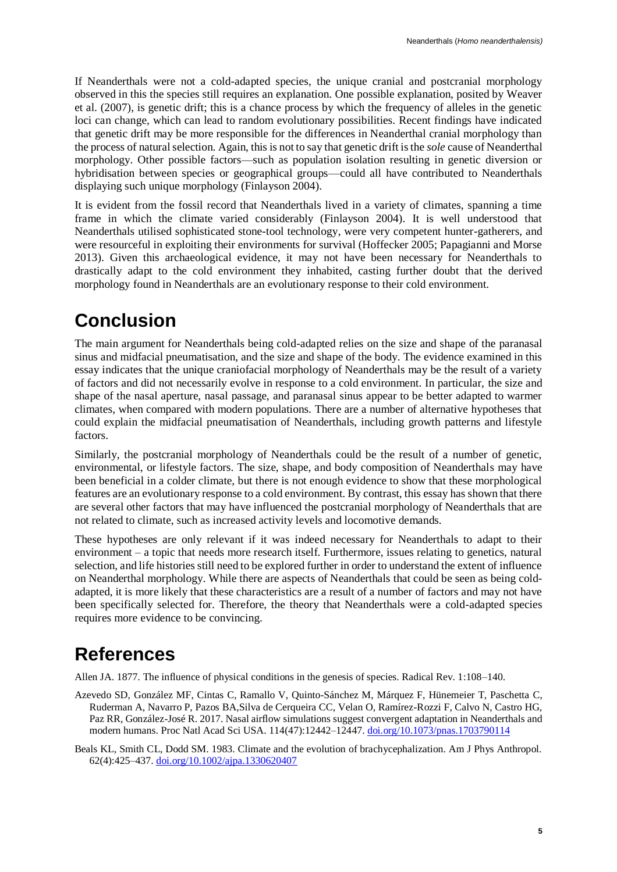If Neanderthals were not a cold-adapted species, the unique cranial and postcranial morphology observed in this the species still requires an explanation. One possible explanation, posited by Weaver et al. (2007), is genetic drift; this is a chance process by which the frequency of alleles in the genetic loci can change, which can lead to random evolutionary possibilities. Recent findings have indicated that genetic drift may be more responsible for the differences in Neanderthal cranial morphology than the process of natural selection. Again, this is not to say that genetic drift is the *sole* cause of Neanderthal morphology. Other possible factors—such as population isolation resulting in genetic diversion or hybridisation between species or geographical groups—could all have contributed to Neanderthals displaying such unique morphology (Finlayson 2004).

It is evident from the fossil record that Neanderthals lived in a variety of climates, spanning a time frame in which the climate varied considerably (Finlayson 2004). It is well understood that Neanderthals utilised sophisticated stone-tool technology, were very competent hunter-gatherers, and were resourceful in exploiting their environments for survival (Hoffecker 2005; Papagianni and Morse 2013). Given this archaeological evidence, it may not have been necessary for Neanderthals to drastically adapt to the cold environment they inhabited, casting further doubt that the derived morphology found in Neanderthals are an evolutionary response to their cold environment.

## **Conclusion**

The main argument for Neanderthals being cold-adapted relies on the size and shape of the paranasal sinus and midfacial pneumatisation, and the size and shape of the body. The evidence examined in this essay indicates that the unique craniofacial morphology of Neanderthals may be the result of a variety of factors and did not necessarily evolve in response to a cold environment. In particular, the size and shape of the nasal aperture, nasal passage, and paranasal sinus appear to be better adapted to warmer climates, when compared with modern populations. There are a number of alternative hypotheses that could explain the midfacial pneumatisation of Neanderthals, including growth patterns and lifestyle factors.

Similarly, the postcranial morphology of Neanderthals could be the result of a number of genetic, environmental, or lifestyle factors. The size, shape, and body composition of Neanderthals may have been beneficial in a colder climate, but there is not enough evidence to show that these morphological features are an evolutionary response to a cold environment. By contrast, this essay has shown that there are several other factors that may have influenced the postcranial morphology of Neanderthals that are not related to climate, such as increased activity levels and locomotive demands.

These hypotheses are only relevant if it was indeed necessary for Neanderthals to adapt to their environment – a topic that needs more research itself. Furthermore, issues relating to genetics, natural selection, and life histories still need to be explored further in order to understand the extent of influence on Neanderthal morphology. While there are aspects of Neanderthals that could be seen as being coldadapted, it is more likely that these characteristics are a result of a number of factors and may not have been specifically selected for. Therefore, the theory that Neanderthals were a cold-adapted species requires more evidence to be convincing.

# **References**

Allen JA. 1877. The influence of physical conditions in the genesis of species. Radical Rev. 1:108–140.

- Azevedo SD, González MF, Cintas C, Ramallo V, Quinto-Sánchez M, Márquez F, Hünemeier T, Paschetta C, Ruderman A, Navarro P, Pazos BA,Silva de Cerqueira CC, Velan O, Ramírez-Rozzi F, Calvo N, Castro HG, Paz RR, González-José R. 2017. Nasal airflow simulations suggest convergent adaptation in Neanderthals and modern humans. Proc Natl Acad Sci USA. 114(47):12442–12447. [doi.org/10.1073/pnas.1703790114](https://doi.org/10.1073/pnas.1703790114)
- Beals KL, Smith CL, Dodd SM. 1983. Climate and the evolution of brachycephalization. Am J Phys Anthropol. 62(4):425–437[. doi.org/10.1002/ajpa.1330620407](https://doi.org/10.1002/ajpa.1330620407)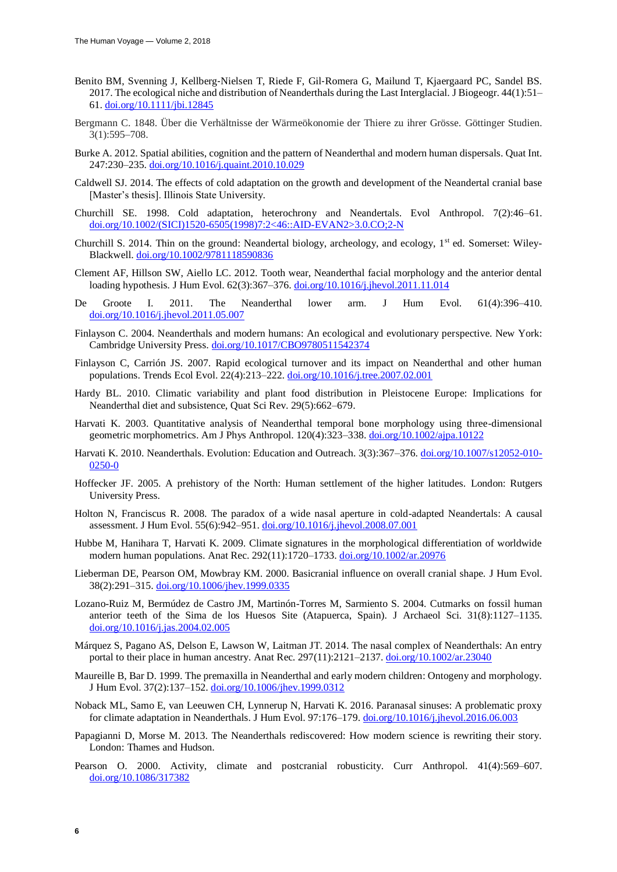- Benito BM, Svenning J, Kellberg‐Nielsen T, Riede F, Gil‐Romera G, Mailund T, Kjaergaard PC, Sandel BS. 2017. The ecological niche and distribution of Neanderthals during the Last Interglacial. J Biogeogr. 44(1):51– 61. [doi.org/10.1111/jbi.12845](https://doi.org/10.1111/jbi.12845)
- Bergmann C. 1848. Über die Verhältnisse der Wärmeökonomie der Thiere zu ihrer Grösse. Göttinger Studien. 3(1):595–708.
- Burke A. 2012. Spatial abilities, cognition and the pattern of Neanderthal and modern human dispersals. Quat Int. 247:230–235. [doi.org/10.1016/j.quaint.2010.10.029](https://doi.org/10.1016/j.quaint.2010.10.029)
- Caldwell SJ. 2014. The effects of cold adaptation on the growth and development of the Neandertal cranial base [Master's thesis]. Illinois State University.
- Churchill SE. 1998. Cold adaptation, heterochrony and Neandertals. Evol Anthropol. 7(2):46–61. [doi.org/10.1002/\(SICI\)1520-6505\(1998\)7:2<46::AID-EVAN2>3.0.CO;2-N](https://doi.org/10.1002/(SICI)1520-6505(1998)7:2%3C46::AID-EVAN2%3E3.0.CO;2-N)
- Churchill S. 2014. Thin on the ground: Neandertal biology, archeology, and ecology, 1st ed. Somerset: Wiley-Blackwell[. doi.org/10.1002/9781118590836](https://doi.org/10.1002/9781118590836)
- Clement AF, Hillson SW, Aiello LC. 2012. Tooth wear, Neanderthal facial morphology and the anterior dental loading hypothesis*.* J Hum Evol. 62(3):367–376[. doi.org/10.1016/j.jhevol.2011.11.014](https://doi.org/10.1016/j.jhevol.2011.11.014)
- De Groote I. 2011. The Neanderthal lower arm. J Hum Evol. 61(4):396–410. [doi.org/10.1016/j.jhevol.2011.05.007](https://doi.org/10.1016/j.jhevol.2011.05.007)
- Finlayson C. 2004. Neanderthals and modern humans: An ecological and evolutionary perspective. New York: Cambridge University Press. [doi.org/10.1017/CBO9780511542374](https://doi.org/10.1017/CBO9780511542374)
- Finlayson C, Carrión JS. 2007. Rapid ecological turnover and its impact on Neanderthal and other human populations. Trends Ecol Evol. 22(4):213–222. [doi.org/10.1016/j.tree.2007.02.001](https://doi.org/10.1016/j.tree.2007.02.001)
- Hardy BL. 2010. Climatic variability and plant food distribution in Pleistocene Europe: Implications for Neanderthal diet and subsistence, Quat Sci Rev. 29(5):662–679.
- Harvati K. 2003. Quantitative analysis of Neanderthal temporal bone morphology using three-dimensional geometric morphometrics. Am J Phys Anthropol. 120(4):323–338[. doi.org/10.1002/ajpa.10122](https://doi.org/10.1002/ajpa.10122)
- Harvati K. 2010. Neanderthals. Evolution: Education and Outreach. 3(3):367-376. [doi.org/10.1007/s12052-010-](https://doi.org/10.1007/s12052-010-0250-0) [0250-0](https://doi.org/10.1007/s12052-010-0250-0)
- Hoffecker JF. 2005. A prehistory of the North: Human settlement of the higher latitudes. London: Rutgers University Press.
- Holton N, Franciscus R. 2008. The paradox of a wide nasal aperture in cold-adapted Neandertals: A causal assessment. J Hum Evol. 55(6):942–951. [doi.org/10.1016/j.jhevol.2008.07.001](https://doi.org/10.1016/j.jhevol.2008.07.001)
- Hubbe M, Hanihara T, Harvati K. 2009. Climate signatures in the morphological differentiation of worldwide modern human populations. Anat Rec. 292(11):1720-1733. [doi.org/10.1002/ar.20976](https://doi.org/10.1002/ar.20976)
- Lieberman DE, Pearson OM, Mowbray KM. 2000. Basicranial influence on overall cranial shape. J Hum Evol. 38(2):291–315[. doi.org/10.1006/jhev.1999.0335](https://doi.org/10.1006/jhev.1999.0335)
- Lozano-Ruiz M, Bermúdez de Castro JM, Martinón-Torres M, Sarmiento S. 2004. Cutmarks on fossil human anterior teeth of the Sima de los Huesos Site (Atapuerca, Spain). J Archaeol Sci. 31(8):1127–1135. [doi.org/10.1016/j.jas.2004.02.005](https://doi.org/10.1016/j.jas.2004.02.005)
- Márquez S, Pagano AS, Delson E, Lawson W, Laitman JT. 2014. The nasal complex of Neanderthals: An entry portal to their place in human ancestry*.* Anat Rec. 297(11):2121–2137. [doi.org/10.1002/ar.23040](https://doi.org/10.1002/ar.23040)
- Maureille B, Bar D. 1999. The premaxilla in Neanderthal and early modern children: Ontogeny and morphology. J Hum Evol. 37(2):137–152. [doi.org/10.1006/jhev.1999.0312](https://doi.org/10.1006/jhev.1999.0312)
- Noback ML, Samo E, van Leeuwen CH, Lynnerup N, Harvati K. 2016. Paranasal sinuses: A problematic proxy for climate adaptation in Neanderthals. J Hum Evol. 97:176–179. [doi.org/10.1016/j.jhevol.2016.06.003](https://doi.org/10.1016/j.jhevol.2016.06.003)
- Papagianni D, Morse M. 2013. The Neanderthals rediscovered: How modern science is rewriting their story. London: Thames and Hudson.
- Pearson O. 2000. Activity, climate and postcranial robusticity. Curr Anthropol*.* 41(4):569–607. [doi.org/10.1086/317382](https://doi.org/10.1086/317382)